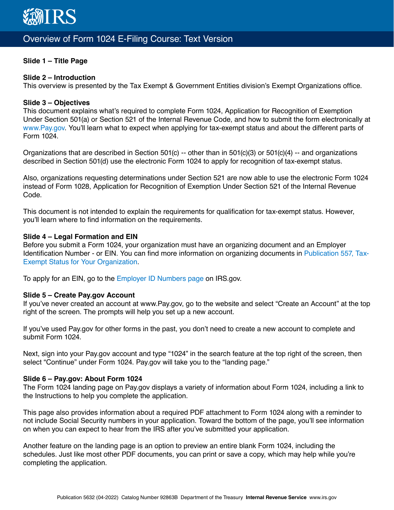

# Overview of Form 1024 E-Filing Course: Text Version

# **Slide 1 – Title Page**

#### **Slide 2 – Introduction**

This overview is presented by the Tax Exempt & Government Entities division's Exempt Organizations office.

#### **Slide 3 – Objectives**

This document explains what's required to complete Form 1024, Application for Recognition of Exemption Under Section 501(a) or Section 521 of the Internal Revenue Code, and how to submit the form electronically at [www.Pay.gov](http://www.Pay.gov). You'll learn what to expect when applying for tax-exempt status and about the different parts of Form 1024.

Organizations that are described in Section 501(c) -- other than in 501(c)(3) or 501(c)(4) -- and organizations described in Section 501(d) use the electronic Form 1024 to apply for recognition of tax-exempt status.

Also, organizations requesting determinations under Section 521 are now able to use the electronic Form 1024 instead of Form 1028, Application for Recognition of Exemption Under Section 521 of the Internal Revenue Code.

This document is not intended to explain the requirements for qualification for tax-exempt status. However, you'll learn where to find information on the requirements.

#### **Slide 4 – Legal Formation and EIN**

Before you submit a Form 1024, your organization must have an organizing document and an Employer Identification Number - or EIN. You can find more information on organizing documents in [Publication 557, Tax-](https://www.irs.gov/forms-pubs/about-publication-557)[Exempt Status for Your Organization](https://www.irs.gov/forms-pubs/about-publication-557).

To apply for an EIN, go to the [Employer ID Numbers page](https://www.irs.gov/businesses/small-businesses-self-employed/employer-id-numbers) on IRS.gov.

# **Slide 5 – Create Pay.gov Account**

If you've never created an account at www.Pay.gov, go to the website and select "Create an Account" at the top right of the screen. The prompts will help you set up a new account.

If you've used Pay.gov for other forms in the past, you don't need to create a new account to complete and submit Form 1024.

Next, sign into your Pay.gov account and type "1024" in the search feature at the top right of the screen, then select "Continue" under Form 1024. Pay.gov will take you to the "landing page."

#### **Slide 6 – Pay.gov: About Form 1024**

The Form 1024 landing page on Pay.gov displays a variety of information about Form 1024, including a link to the Instructions to help you complete the application.

This page also provides information about a required PDF attachment to Form 1024 along with a reminder to not include Social Security numbers in your application. Toward the bottom of the page, you'll see information on when you can expect to hear from the IRS after you've submitted your application.

Another feature on the landing page is an option to preview an entire blank Form 1024, including the schedules. Just like most other PDF documents, you can print or save a copy, which may help while you're completing the application.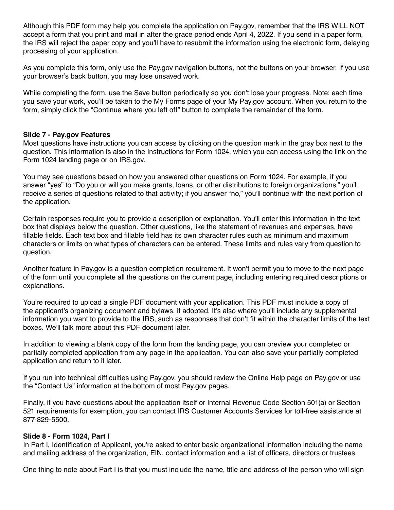Although this PDF form may help you complete the application on Pay.gov, remember that the IRS WILL NOT accept a form that you print and mail in after the grace period ends April 4, 2022. If you send in a paper form, the IRS will reject the paper copy and you'll have to resubmit the information using the electronic form, delaying processing of your application.

As you complete this form, only use the Pay.gov navigation buttons, not the buttons on your browser. If you use your browser's back button, you may lose unsaved work.

While completing the form, use the Save button periodically so you don't lose your progress. Note: each time you save your work, you'll be taken to the My Forms page of your My Pay.gov account. When you return to the form, simply click the "Continue where you left off" button to complete the remainder of the form.

# **Slide 7 - Pay.gov Features**

Most questions have instructions you can access by clicking on the question mark in the gray box next to the question. This information is also in the Instructions for Form 1024, which you can access using the link on the Form 1024 landing page or on IRS.gov.

You may see questions based on how you answered other questions on Form 1024. For example, if you answer "yes" to "Do you or will you make grants, loans, or other distributions to foreign organizations," you'll receive a series of questions related to that activity; if you answer "no," you'll continue with the next portion of the application.

Certain responses require you to provide a description or explanation. You'll enter this information in the text box that displays below the question. Other questions, like the statement of revenues and expenses, have fillable fields. Each text box and fillable field has its own character rules such as minimum and maximum characters or limits on what types of characters can be entered. These limits and rules vary from question to question.

Another feature in Pay.gov is a question completion requirement. It won't permit you to move to the next page of the form until you complete all the questions on the current page, including entering required descriptions or explanations.

You're required to upload a single PDF document with your application. This PDF must include a copy of the applicant's organizing document and bylaws, if adopted. It's also where you'll include any supplemental information you want to provide to the IRS, such as responses that don't fit within the character limits of the text boxes. We'll talk more about this PDF document later.

In addition to viewing a blank copy of the form from the landing page, you can preview your completed or partially completed application from any page in the application. You can also save your partially completed application and return to it later.

If you run into technical difficulties using Pay.gov, you should review the Online Help page on Pay.gov or use the "Contact Us" information at the bottom of most Pay.gov pages.

Finally, if you have questions about the application itself or Internal Revenue Code Section 501(a) or Section 521 requirements for exemption, you can contact IRS Customer Accounts Services for toll-free assistance at 877-829-5500.

# **Slide 8 - Form 1024, Part I**

In Part I, Identification of Applicant, you're asked to enter basic organizational information including the name and mailing address of the organization, EIN, contact information and a list of officers, directors or trustees.

One thing to note about Part I is that you must include the name, title and address of the person who will sign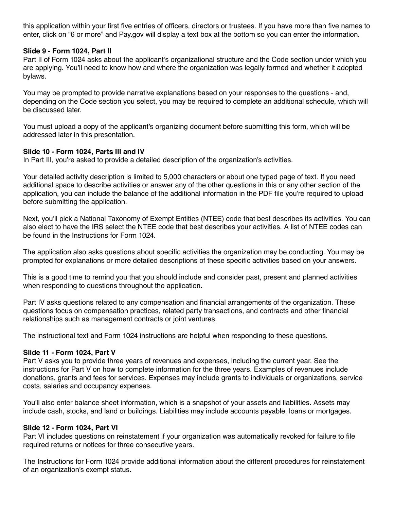this application within your first five entries of officers, directors or trustees. If you have more than five names to enter, click on "6 or more" and Pay.gov will display a text box at the bottom so you can enter the information.

# **Slide 9 - Form 1024, Part II**

Part II of Form 1024 asks about the applicant's organizational structure and the Code section under which you are applying. You'll need to know how and where the organization was legally formed and whether it adopted bylaws.

You may be prompted to provide narrative explanations based on your responses to the questions - and, depending on the Code section you select, you may be required to complete an additional schedule, which will be discussed later.

You must upload a copy of the applicant's organizing document before submitting this form, which will be addressed later in this presentation.

# **Slide 10 - Form 1024, Parts III and IV**

In Part III, you're asked to provide a detailed description of the organization's activities.

Your detailed activity description is limited to 5,000 characters or about one typed page of text. If you need additional space to describe activities or answer any of the other questions in this or any other section of the application, you can include the balance of the additional information in the PDF file you're required to upload before submitting the application.

Next, you'll pick a National Taxonomy of Exempt Entities (NTEE) code that best describes its activities. You can also elect to have the IRS select the NTEE code that best describes your activities. A list of NTEE codes can be found in the Instructions for Form 1024.

The application also asks questions about specific activities the organization may be conducting. You may be prompted for explanations or more detailed descriptions of these specific activities based on your answers.

This is a good time to remind you that you should include and consider past, present and planned activities when responding to questions throughout the application.

Part IV asks questions related to any compensation and financial arrangements of the organization. These questions focus on compensation practices, related party transactions, and contracts and other financial relationships such as management contracts or joint ventures.

The instructional text and Form 1024 instructions are helpful when responding to these questions.

# **Slide 11 - Form 1024, Part V**

Part V asks you to provide three years of revenues and expenses, including the current year. See the instructions for Part V on how to complete information for the three years. Examples of revenues include donations, grants and fees for services. Expenses may include grants to individuals or organizations, service costs, salaries and occupancy expenses.

You'll also enter balance sheet information, which is a snapshot of your assets and liabilities. Assets may include cash, stocks, and land or buildings. Liabilities may include accounts payable, loans or mortgages.

# **Slide 12 - Form 1024, Part VI**

Part VI includes questions on reinstatement if your organization was automatically revoked for failure to file required returns or notices for three consecutive years.

The Instructions for Form 1024 provide additional information about the different procedures for reinstatement of an organization's exempt status.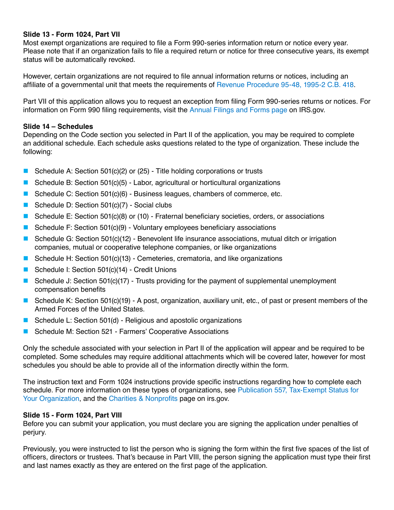# **Slide 13 - Form 1024, Part VII**

Most exempt organizations are required to file a Form 990-series information return or notice every year. Please note that if an organization fails to file a required return or notice for three consecutive years, its exempt status will be automatically revoked.

However, certain organizations are not required to file annual information returns or notices, including an affiliate of a governmental unit that meets the requirements of [Revenue Procedure 95-48, 1995-2 C.B. 418.](https://www.irs.gov/pub/irs-tege/rp1995-48.pdf)

Part VII of this application allows you to request an exception from filing Form 990-series returns or notices. For information on Form 990 filing requirements, visit the [Annual Filings and Forms page](https://www.irs.gov/charities-non-profits/annual-filing-and-forms) on IRS.gov.

# **Slide 14 – Schedules**

Depending on the Code section you selected in Part II of the application, you may be required to complete an additional schedule. Each schedule asks questions related to the type of organization. These include the following:

- Schedule A: Section 501(c)(2) or (25) Title holding corporations or trusts
- Schedule B: Section 501(c)(5) Labor, agricultural or horticultural organizations
- Schedule C: Section 501(c)(6) Business leagues, chambers of commerce, etc.
- Schedule D: Section 501(c)(7) Social clubs
- Schedule E: Section 501(c)(8) or (10) Fraternal beneficiary societies, orders, or associations
- Schedule F: Section 501(c)(9) Voluntary employees beneficiary associations
- Schedule G: Section 501(c)(12) Benevolent life insurance associations, mutual ditch or irrigation companies, mutual or cooperative telephone companies, or like organizations
- Schedule H: Section 501(c)(13) Cemeteries, crematoria, and like organizations
- Schedule I: Section 501(c)(14) Credit Unions
- Schedule J: Section 501(c)(17) Trusts providing for the payment of supplemental unemployment compensation benefits
- Schedule K: Section 501(c)(19) A post, organization, auxiliary unit, etc., of past or present members of the Armed Forces of the United States.
- Schedule L: Section 501(d) Religious and apostolic organizations
- Schedule M: Section 521 Farmers' Cooperative Associations

Only the schedule associated with your selection in Part II of the application will appear and be required to be completed. Some schedules may require additional attachments which will be covered later, however for most schedules you should be able to provide all of the information directly within the form.

The instruction text and Form 1024 instructions provide specific instructions regarding how to complete each schedule. For more information on these types of organizations, see [Publication 557, Tax-Exempt Status for](https://www.irs.gov/forms-pubs/about-publication-557)  [Your Organization](https://www.irs.gov/forms-pubs/about-publication-557), and the [Charities & Nonprofits](https://www.irs.gov/charities) page on irs.gov.

# **Slide 15 - Form 1024, Part VIII**

Before you can submit your application, you must declare you are signing the application under penalties of perjury.

Previously, you were instructed to list the person who is signing the form within the first five spaces of the list of officers, directors or trustees. That's because in Part VIII, the person signing the application must type their first and last names exactly as they are entered on the first page of the application.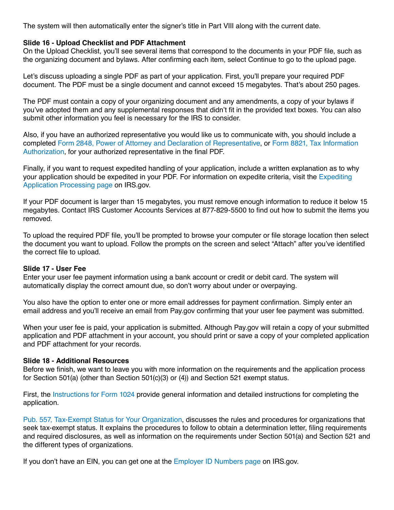The system will then automatically enter the signer's title in Part VIII along with the current date.

# **Slide 16 - Upload Checklist and PDF Attachment**

On the Upload Checklist, you'll see several items that correspond to the documents in your PDF file, such as the organizing document and bylaws. After confirming each item, select Continue to go to the upload page.

Let's discuss uploading a single PDF as part of your application. First, you'll prepare your required PDF document. The PDF must be a single document and cannot exceed 15 megabytes. That's about 250 pages.

The PDF must contain a copy of your organizing document and any amendments, a copy of your bylaws if you've adopted them and any supplemental responses that didn't fit in the provided text boxes. You can also submit other information you feel is necessary for the IRS to consider.

Also, if you have an authorized representative you would like us to communicate with, you should include a completed [Form 2848, Power of Attorney and Declaration of Representative](https://www.irs.gov/forms-pubs/about-form-2848), or [Form 8821, Tax Information](https://www.irs.gov/forms-pubs/about-form-8821)  [Authorization,](https://www.irs.gov/forms-pubs/about-form-8821) for your authorized representative in the final PDF.

Finally, if you want to request expedited handling of your application, include a written explanation as to why your application should be expedited in your PDF. For information on expedite criteria, visit the [Expediting](https://www.irs.gov/charities-non-profits/applying-for-exemption-expediting-application-processing)  [Application Processing page](https://www.irs.gov/charities-non-profits/applying-for-exemption-expediting-application-processing) on IRS.gov.

If your PDF document is larger than 15 megabytes, you must remove enough information to reduce it below 15 megabytes. Contact IRS Customer Accounts Services at 877-829-5500 to find out how to submit the items you removed.

To upload the required PDF file, you'll be prompted to browse your computer or file storage location then select the document you want to upload. Follow the prompts on the screen and select "Attach" after you've identified the correct file to upload.

# **Slide 17 - User Fee**

Enter your user fee payment information using a bank account or credit or debit card. The system will automatically display the correct amount due, so don't worry about under or overpaying.

You also have the option to enter one or more email addresses for payment confirmation. Simply enter an email address and you'll receive an email from Pay.gov confirming that your user fee payment was submitted.

When your user fee is paid, your application is submitted. Although Pay.gov will retain a copy of your submitted application and PDF attachment in your account, you should print or save a copy of your completed application and PDF attachment for your records.

# **Slide 18 - Additional Resources**

Before we finish, we want to leave you with more information on the requirements and the application process for Section 501(a) (other than Section 501(c)(3) or (4)) and Section 521 exempt status.

First, the [Instructions for Form 1024](https://www.irs.gov/pub/irs-pdf/i1024.pdf) provide general information and detailed instructions for completing the application.

[Pub. 557, Tax-Exempt Status for Your Organization,](https://www.irs.gov/forms-pubs/about-publication-557) discusses the rules and procedures for organizations that seek tax-exempt status. It explains the procedures to follow to obtain a determination letter, filing requirements and required disclosures, as well as information on the requirements under Section 501(a) and Section 521 and the different types of organizations.

If you don't have an EIN, you can get one at the [Employer ID Numbers page](https://www.irs.gov/businesses/small-businesses-self-employed/employer-id-numbers) on IRS.gov.